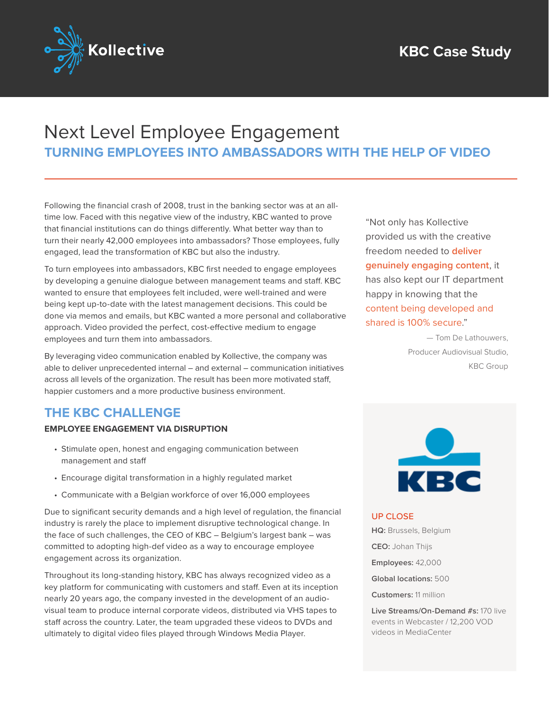

# Next Level Employee Engagement **TURNING EMPLOYEES INTO AMBASSADORS WITH THE HELP OF VIDEO**

Following the financial crash of 2008, trust in the banking sector was at an alltime low. Faced with this negative view of the industry, KBC wanted to prove that financial institutions can do things differently. What better way than to turn their nearly 42,000 employees into ambassadors? Those employees, fully engaged, lead the transformation of KBC but also the industry.

To turn employees into ambassadors, KBC first needed to engage employees by developing a genuine dialogue between management teams and staff. KBC wanted to ensure that employees felt included, were well-trained and were being kept up-to-date with the latest management decisions. This could be done via memos and emails, but KBC wanted a more personal and collaborative approach. Video provided the perfect, cost-effective medium to engage employees and turn them into ambassadors.

By leveraging video communication enabled by Kollective, the company was able to deliver unprecedented internal – and external – communication initiatives across all levels of the organization. The result has been more motivated staff, happier customers and a more productive business environment.

# **THE KBC CHALLENGE**

#### **EMPLOYEE ENGAGEMENT VIA DISRUPTION**

- Stimulate open, honest and engaging communication between management and staff
- Encourage digital transformation in a highly regulated market
- Communicate with a Belgian workforce of over 16,000 employees

Due to significant security demands and a high level of regulation, the financial industry is rarely the place to implement disruptive technological change. In the face of such challenges, the CEO of KBC – Belgium's largest bank – was committed to adopting high-def video as a way to encourage employee engagement across its organization.

Throughout its long-standing history, KBC has always recognized video as a key platform for communicating with customers and staff. Even at its inception nearly 20 years ago, the company invested in the development of an audiovisual team to produce internal corporate videos, distributed via VHS tapes to staff across the country. Later, the team upgraded these videos to DVDs and ultimately to digital video files played through Windows Media Player.

"Not only has Kollective provided us with the creative freedom needed to **deliver genuinely engaging content**, it has also kept our IT department happy in knowing that the content being developed and shared is 100% secure."

> — Tom De Lathouwers, Producer Audiovisual Studio, KBC Group



#### UP CLOSE

**HQ:** Brussels, Belgium

**CEO:** Johan Thijs

**Employees:** 42,000

**Global locations:** 500

**Customers:** 11 million

**Live Streams/On-Demand #s:** 170 live events in Webcaster / 12,200 VOD videos in MediaCenter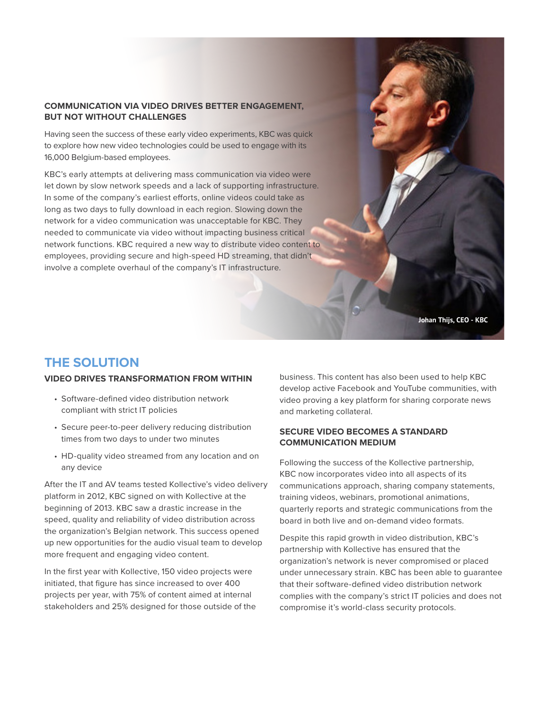#### **COMMUNICATION VIA VIDEO DRIVES BETTER ENGAGEMENT, BUT NOT WITHOUT CHALLENGES**

Having seen the success of these early video experiments, KBC was quick to explore how new video technologies could be used to engage with its 16,000 Belgium-based employees.

KBC's early attempts at delivering mass communication via video were let down by slow network speeds and a lack of supporting infrastructure. In some of the company's earliest efforts, online videos could take as long as two days to fully download in each region. Slowing down the network for a video communication was unacceptable for KBC. They needed to communicate via video without impacting business critical network functions. KBC required a new way to distribute video content to employees, providing secure and high-speed HD streaming, that didn't involve a complete overhaul of the company's IT infrastructure.



## **THE SOLUTION**

#### **VIDEO DRIVES TRANSFORMATION FROM WITHIN**

- Software-defined video distribution network compliant with strict IT policies
- Secure peer-to-peer delivery reducing distribution times from two days to under two minutes
- HD-quality video streamed from any location and on any device

After the IT and AV teams tested Kollective's video delivery platform in 2012, KBC signed on with Kollective at the beginning of 2013. KBC saw a drastic increase in the speed, quality and reliability of video distribution across the organization's Belgian network. This success opened up new opportunities for the audio visual team to develop more frequent and engaging video content.

In the first year with Kollective, 150 video projects were initiated, that figure has since increased to over 400 projects per year, with 75% of content aimed at internal stakeholders and 25% designed for those outside of the business. This content has also been used to help KBC develop active Facebook and YouTube communities, with video proving a key platform for sharing corporate news and marketing collateral.

#### **SECURE VIDEO BECOMES A STANDARD COMMUNICATION MEDIUM**

Following the success of the Kollective partnership, KBC now incorporates video into all aspects of its communications approach, sharing company statements, training videos, webinars, promotional animations, quarterly reports and strategic communications from the board in both live and on-demand video formats.

Despite this rapid growth in video distribution, KBC's partnership with Kollective has ensured that the organization's network is never compromised or placed under unnecessary strain. KBC has been able to guarantee that their software-defined video distribution network complies with the company's strict IT policies and does not compromise it's world-class security protocols.